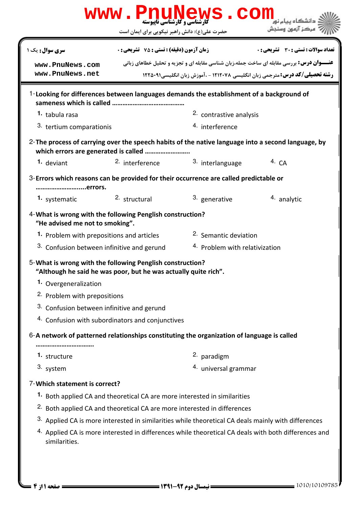| <b>سری سوال :</b> یک ۱<br>www.PnuNews.com<br>www.PnuNews.net                                                                 | <b>زمان آزمون (دقیقه) : تستی : 75 ٪ تشریحی : 0</b>                                   |                                                                                                      | تعداد سوالات : تستي : 30 - تشريحي : 0 |  |
|------------------------------------------------------------------------------------------------------------------------------|--------------------------------------------------------------------------------------|------------------------------------------------------------------------------------------------------|---------------------------------------|--|
|                                                                                                                              |                                                                                      |                                                                                                      |                                       |  |
|                                                                                                                              |                                                                                      | <b>عنـــوان درس:</b> بررسی مقابله ای ساخت جمله،زبان شناسی مقابله ای و تجزیه و تحلیل خطاهای زبانی     |                                       |  |
|                                                                                                                              | <b>رشته تحصیلی/کد درس:</b> مترجمی زبان انگلیسی ۱۲۱۲۰۷۸ - ،آموزش زبان انگلیسی،۱۲۲۵۰۹۱ |                                                                                                      |                                       |  |
|                                                                                                                              |                                                                                      | 1-Looking for differences between languages demands the establishment of a background of             |                                       |  |
| 1. tabula rasa                                                                                                               |                                                                                      | 2. contrastive analysis                                                                              |                                       |  |
| 3. tertium comparationis                                                                                                     |                                                                                      | 4. interference                                                                                      |                                       |  |
| which errors are generated is called                                                                                         |                                                                                      | 2-The process of carrying over the speech habits of the native language into a second language, by   |                                       |  |
| 1. deviant                                                                                                                   | 2. interference                                                                      | 3. interlanguage                                                                                     | 4. $CA$                               |  |
| errors.                                                                                                                      |                                                                                      | 3-Errors which reasons can be provided for their occurrence are called predictable or                |                                       |  |
| 1. systematic                                                                                                                | 2. structural                                                                        | 3. generative                                                                                        | 4. analytic                           |  |
| 4- What is wrong with the following Penglish construction?<br>"He advised me not to smoking".                                |                                                                                      |                                                                                                      |                                       |  |
| 1. Problem with prepositions and articles                                                                                    |                                                                                      | <sup>2.</sup> Semantic deviation                                                                     |                                       |  |
| 3. Confusion between infinitive and gerund                                                                                   |                                                                                      | <sup>4.</sup> Problem with relativization                                                            |                                       |  |
| 5-What is wrong with the following Penglish construction?<br>"Although he said he was poor, but he was actually quite rich". |                                                                                      |                                                                                                      |                                       |  |
| 1. Overgeneralization                                                                                                        |                                                                                      |                                                                                                      |                                       |  |
| <sup>2</sup> Problem with prepositions                                                                                       |                                                                                      |                                                                                                      |                                       |  |
| 3. Confusion between infinitive and gerund                                                                                   |                                                                                      |                                                                                                      |                                       |  |
| 4. Confusion with subordinators and conjunctives                                                                             |                                                                                      |                                                                                                      |                                       |  |
|                                                                                                                              |                                                                                      | 6-A network of patterned relationships constituting the organization of language is called           |                                       |  |
| <br><sup>1.</sup> structure                                                                                                  |                                                                                      | <sup>2.</sup> paradigm                                                                               |                                       |  |
| 3. system                                                                                                                    |                                                                                      | 4. universal grammar                                                                                 |                                       |  |
| 7-Which statement is correct?                                                                                                |                                                                                      |                                                                                                      |                                       |  |
| 1. Both applied CA and theoretical CA are more interested in similarities                                                    |                                                                                      |                                                                                                      |                                       |  |
|                                                                                                                              |                                                                                      | <sup>2.</sup> Both applied CA and theoretical CA are more interested in differences                  |                                       |  |
|                                                                                                                              |                                                                                      | 3. Applied CA is more interested in similarities while theoretical CA deals mainly with differences  |                                       |  |
| similarities.                                                                                                                |                                                                                      | 4. Applied CA is more interested in differences while theoretical CA deals with both differences and |                                       |  |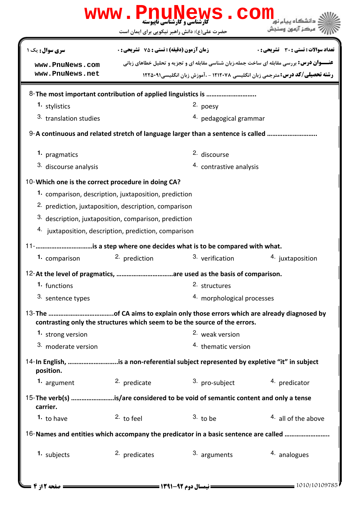|                                                                                                   |                                                                                 | www.PnuNews.con                                                                                                                                                                          |                                       |  |  |
|---------------------------------------------------------------------------------------------------|---------------------------------------------------------------------------------|------------------------------------------------------------------------------------------------------------------------------------------------------------------------------------------|---------------------------------------|--|--|
|                                                                                                   | حضرت علی(ع): دانش راهبر نیکویی برای ایمان است                                   |                                                                                                                                                                                          | مركز آزمون وسنجش                      |  |  |
| سری سوال: یک ۱                                                                                    | <b>زمان آزمون (دقیقه) : تستی : 75 ٪ تشریحی : 0</b>                              |                                                                                                                                                                                          | تعداد سوالات : تستى : 30 - تشريحي : 0 |  |  |
| www.PnuNews.com<br>www.PnuNews.net                                                                |                                                                                 | <b>عنـــوان درس:</b> بررسی مقابله ای ساخت جمله،زبان شناسی مقابله ای و تجزیه و تحلیل خطاهای زبانی<br><b>رشته تحصیلی/کد درس:</b> مترجمی زبان انگلیسی ۱۲۱۲۰۷۸ - ،آموزش زبان انگلیسی،۱۲۲۵۰۹۱ |                                       |  |  |
|                                                                                                   |                                                                                 |                                                                                                                                                                                          |                                       |  |  |
| 1. stylistics                                                                                     |                                                                                 | 2. poesy                                                                                                                                                                                 |                                       |  |  |
| 3. translation studies                                                                            |                                                                                 | 4. pedagogical grammar                                                                                                                                                                   |                                       |  |  |
|                                                                                                   | 9-A continuous and related stretch of language larger than a sentence is called |                                                                                                                                                                                          |                                       |  |  |
| 1. pragmatics                                                                                     |                                                                                 | <sup>2.</sup> discourse                                                                                                                                                                  |                                       |  |  |
| 3. discourse analysis                                                                             |                                                                                 | 4. contrastive analysis                                                                                                                                                                  |                                       |  |  |
| 10-Which one is the correct procedure in doing CA?                                                |                                                                                 |                                                                                                                                                                                          |                                       |  |  |
| 1. comparison, description, juxtaposition, prediction                                             |                                                                                 |                                                                                                                                                                                          |                                       |  |  |
| <sup>2.</sup> prediction, juxtaposition, description, comparison                                  |                                                                                 |                                                                                                                                                                                          |                                       |  |  |
| 3. description, juxtaposition, comparison, prediction                                             |                                                                                 |                                                                                                                                                                                          |                                       |  |  |
| 4. juxtaposition, description, prediction, comparison                                             |                                                                                 |                                                                                                                                                                                          |                                       |  |  |
| 11- is a step where one decides what is to be compared with what.                                 |                                                                                 |                                                                                                                                                                                          |                                       |  |  |
| 1. comparison                                                                                     | 2. prediction                                                                   | 3. verification                                                                                                                                                                          | 4. juxtaposition                      |  |  |
| 12-At the level of pragmatics, are used as the basis of comparison.                               |                                                                                 |                                                                                                                                                                                          |                                       |  |  |
| 1. functions                                                                                      |                                                                                 | 2. structures                                                                                                                                                                            |                                       |  |  |
| 3. sentence types                                                                                 |                                                                                 | 4. morphological processes                                                                                                                                                               |                                       |  |  |
|                                                                                                   |                                                                                 | contrasting only the structures which seem to be the source of the errors.                                                                                                               |                                       |  |  |
| 1. strong version                                                                                 |                                                                                 | <sup>2.</sup> weak version                                                                                                                                                               |                                       |  |  |
| 3. moderate version                                                                               |                                                                                 | <sup>4.</sup> thematic version                                                                                                                                                           |                                       |  |  |
| 14-In English, is a non-referential subject represented by expletive "it" in subject<br>position. |                                                                                 |                                                                                                                                                                                          |                                       |  |  |
| 1. argument                                                                                       | 2. predicate                                                                    | 3. pro-subject                                                                                                                                                                           | 4. predicator                         |  |  |
| 15-The verb(s) is/are considered to be void of semantic content and only a tense<br>carrier.      |                                                                                 |                                                                                                                                                                                          |                                       |  |  |
| <sup>1</sup> to have                                                                              | $2.$ to feel                                                                    | $3.$ to be                                                                                                                                                                               | 4. all of the above                   |  |  |
| 16-Names and entities which accompany the predicator in a basic sentence are called               |                                                                                 |                                                                                                                                                                                          |                                       |  |  |
| 1. subjects                                                                                       | <sup>2.</sup> predicates                                                        | 3. arguments                                                                                                                                                                             | 4. analogues                          |  |  |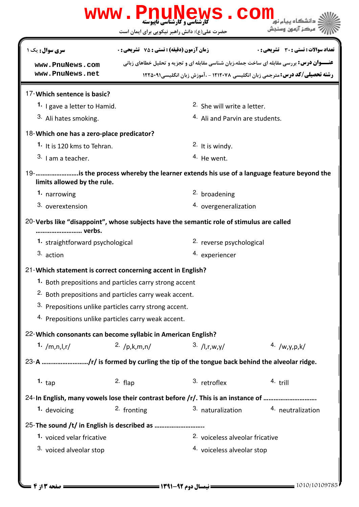|                                                                                                                        | WWW.PnuNews.Com                                        |                                            |                                                                                                  |  |  |  |
|------------------------------------------------------------------------------------------------------------------------|--------------------------------------------------------|--------------------------------------------|--------------------------------------------------------------------------------------------------|--|--|--|
|                                                                                                                        | حضرت علی(ع): دانش راهبر نیکویی برای ایمان است          |                                            | مركز آزمون وسنجش                                                                                 |  |  |  |
| <b>سری سوال :</b> یک ۱                                                                                                 | <b>زمان آزمون (دقیقه) : تستی : 75 تشریحی : 0</b>       |                                            | تعداد سوالات : تستي : 30 - تشريحي : 0                                                            |  |  |  |
| www.PnuNews.com                                                                                                        |                                                        |                                            | <b>عنـــوان درس:</b> بررسی مقابله ای ساخت جمله،زبان شناسی مقابله ای و تجزیه و تحلیل خطاهای زبانی |  |  |  |
| www.PnuNews.net                                                                                                        |                                                        |                                            | رشته تحصیلی/کد درس: مترجمی زبان انگلیسی ۱۲۱۲۰۷۸ - ،آموزش زبان انگلیسی۱۲۲۵۰۹۱                     |  |  |  |
| 17-Which sentence is basic?                                                                                            |                                                        |                                            |                                                                                                  |  |  |  |
| 1. I gave a letter to Hamid.                                                                                           |                                                        | <sup>2.</sup> She will write a letter.     |                                                                                                  |  |  |  |
| 3. Ali hates smoking.                                                                                                  |                                                        | <sup>4.</sup> Ali and Parvin are students. |                                                                                                  |  |  |  |
| 18-Which one has a zero-place predicator?                                                                              |                                                        |                                            |                                                                                                  |  |  |  |
| <sup>1.</sup> It is 120 kms to Tehran.                                                                                 |                                                        | 2. It is windy.                            |                                                                                                  |  |  |  |
| $3.1$ am a teacher.                                                                                                    |                                                        | $4.$ He went.                              |                                                                                                  |  |  |  |
| 19- is the process whereby the learner extends his use of a language feature beyond the<br>limits allowed by the rule. |                                                        |                                            |                                                                                                  |  |  |  |
| 1. narrowing                                                                                                           |                                                        | <sup>2.</sup> broadening                   |                                                                                                  |  |  |  |
| 3. overextension                                                                                                       |                                                        | 4. overgeneralization                      |                                                                                                  |  |  |  |
| 20-Verbs like "disappoint", whose subjects have the semantic role of stimulus are called<br>verbs.                     |                                                        |                                            |                                                                                                  |  |  |  |
| 1. straightforward psychological                                                                                       |                                                        | 2. reverse psychological                   |                                                                                                  |  |  |  |
| 3. action                                                                                                              |                                                        | 4. experiencer                             |                                                                                                  |  |  |  |
| 21-Which statement is correct concerning accent in English?                                                            |                                                        |                                            |                                                                                                  |  |  |  |
|                                                                                                                        | 1. Both prepositions and particles carry strong accent |                                            |                                                                                                  |  |  |  |
|                                                                                                                        | 2. Both prepositions and particles carry weak accent.  |                                            |                                                                                                  |  |  |  |
|                                                                                                                        | 3. Prepositions unlike particles carry strong accent.  |                                            |                                                                                                  |  |  |  |
|                                                                                                                        | 4. Prepositions unlike particles carry weak accent.    |                                            |                                                                                                  |  |  |  |
| 22- Which consonants can become syllabic in American English?                                                          |                                                        |                                            |                                                                                                  |  |  |  |
| 1. $/m, n, l, r/$                                                                                                      | 2. $/p,k,m,n/$                                         | 3. /  I,r,w,y                              | $4. \ /w, y, p, k/$                                                                              |  |  |  |
| 23-A /r/ is formed by curling the tip of the tongue back behind the alveolar ridge.                                    |                                                        |                                            |                                                                                                  |  |  |  |
| 1. $_{\text{tap}}$                                                                                                     | $2.$ flap                                              | 3. retroflex                               | $4.$ trill                                                                                       |  |  |  |
| 24-In English, many vowels lose their contrast before /r/. This is an instance of                                      |                                                        |                                            |                                                                                                  |  |  |  |
| 1. devoicing                                                                                                           | 2. fronting                                            | 3. naturalization                          | 4. neutralization                                                                                |  |  |  |
| 25-The sound /t/ in English is described as                                                                            |                                                        |                                            |                                                                                                  |  |  |  |
| 1. voiced velar fricative                                                                                              |                                                        | 2. voiceless alveolar fricative            |                                                                                                  |  |  |  |
| 3. voiced alveolar stop                                                                                                |                                                        | 4. voiceless alveolar stop                 |                                                                                                  |  |  |  |
|                                                                                                                        |                                                        |                                            |                                                                                                  |  |  |  |